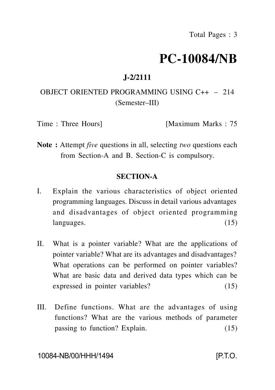# **PC-10084/NB**

## **J-2/2111**

## OBJECT ORIENTED PROGRAMMING USING C++ – 214 (Semester–III)

Time : Three Hours [Maximum Marks : 75

**Note :** Attempt *five* questions in all, selecting *two* questions each from Section-A and B. Section-C is compulsory.

### **SECTION-A**

- I. Explain the various characteristics of object oriented programming languages. Discuss in detail various advantages and disadvantages of object oriented programming languages. (15)
- II. What is a pointer variable? What are the applications of pointer variable? What are its advantages and disadvantages? What operations can be performed on pointer variables? What are basic data and derived data types which can be expressed in pointer variables? (15)
- III. Define functions. What are the advantages of using functions? What are the various methods of parameter passing to function? Explain. (15)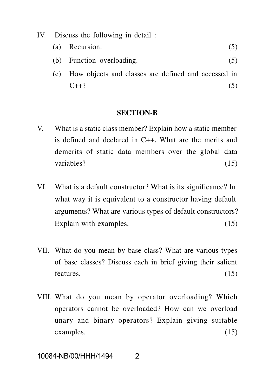- IV. Discuss the following in detail :
	- (a) Recursion.  $(5)$
	- (b) Function overloading. (5)
	- (c) How objects and classes are defined and accessed in  $C++?$  (5)

#### **SECTION-B**

- V. What is a static class member? Explain how a static member is defined and declared in C++. What are the merits and demerits of static data members over the global data variables? (15)
- VI. What is a default constructor? What is its significance? In what way it is equivalent to a constructor having default arguments? What are various types of default constructors? Explain with examples. (15)
- VII. What do you mean by base class? What are various types of base classes? Discuss each in brief giving their salient features.  $(15)$
- VIII. What do you mean by operator overloading? Which operators cannot be overloaded? How can we overload unary and binary operators? Explain giving suitable examples. (15)

10084-NB/00/HHH/1494 2